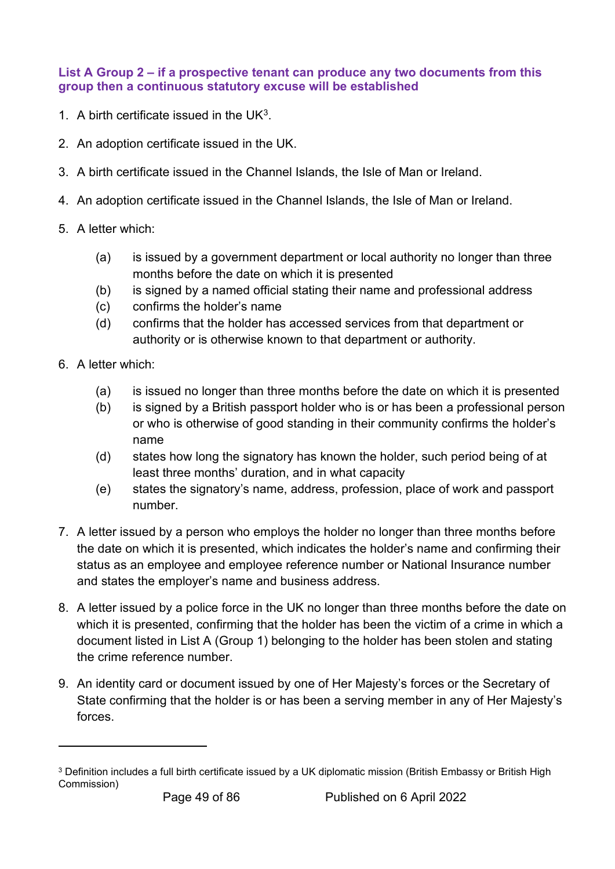## **List A Group 2 – if a prospective tenant can produce any two documents from this group then a continuous statutory excuse will be established**

- 1. A birth certificate issued in the  $UK<sup>3</sup>$ .
- 2. An adoption certificate issued in the UK.
- 3. A birth certificate issued in the Channel Islands, the Isle of Man or Ireland.
- 4. An adoption certificate issued in the Channel Islands, the Isle of Man or Ireland.
- 5. A letter which:
	- (a) is issued by a government department or local authority no longer than three months before the date on which it is presented
	- (b) is signed by a named official stating their name and professional address
	- (c) confirms the holder's name
	- (d) confirms that the holder has accessed services from that department or authority or is otherwise known to that department or authority.
- 6. A letter which:
	- (a) is issued no longer than three months before the date on which it is presented
	- (b) is signed by a British passport holder who is or has been a professional person or who is otherwise of good standing in their community confirms the holder's name
	- (d) states how long the signatory has known the holder, such period being of at least three months' duration, and in what capacity
	- (e) states the signatory's name, address, profession, place of work and passport number.
- 7. A letter issued by a person who employs the holder no longer than three months before the date on which it is presented, which indicates the holder's name and confirming their status as an employee and employee reference number or National Insurance number and states the employer's name and business address.
- 8. A letter issued by a police force in the UK no longer than three months before the date on which it is presented, confirming that the holder has been the victim of a crime in which a document listed in List A (Group 1) belonging to the holder has been stolen and stating the crime reference number.
- 9. An identity card or document issued by one of Her Majesty's forces or the Secretary of State confirming that the holder is or has been a serving member in any of Her Majesty's forces.

<span id="page-0-0"></span><sup>&</sup>lt;sup>3</sup> Definition includes a full birth certificate issued by a UK diplomatic mission (British Embassy or British High Commission)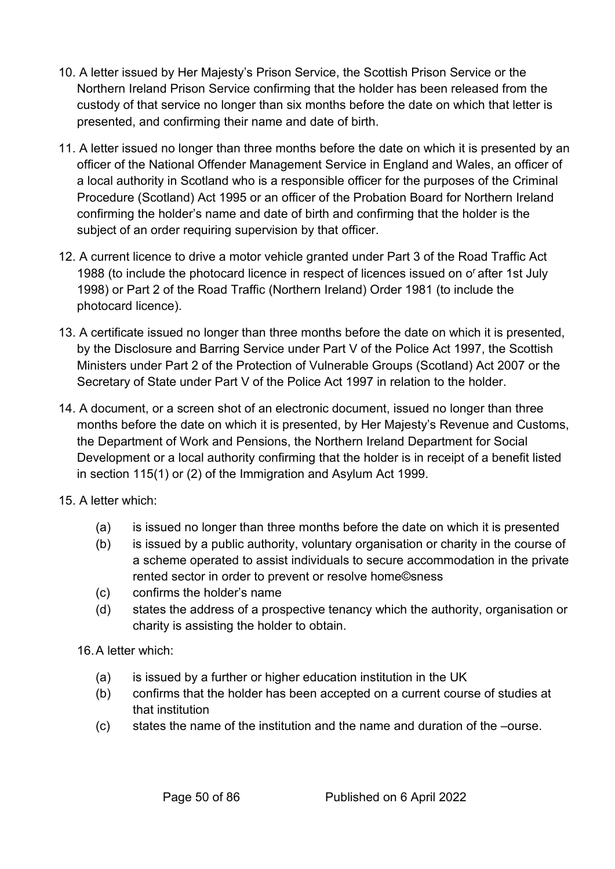- 10. A letter issued by Her Majesty's Prison Service, the Scottish Prison Service or the Northern Ireland Prison Service confirming that the holder has been released from the custody of that service no longer than six months before the date on which that letter is presented, and confirming their name and date of birth.
- 11. A letter issued no longer than three months before the date on which it is presented by an officer of the National Offender Management Service in England and Wales, an officer of a local authority in Scotland who is a responsible officer for the purposes of the Criminal Procedure (Scotland) Act 1995 or an officer of the Probation Board for Northern Ireland confirming the holder's name and date of birth and confirming that the holder is the subject of an order requiring supervision by that officer.
- 12. A current licence to drive a motor vehicle granted under Part 3 of the Road Traffic Act 1988 (to include the photocard licence in respect of licences issued on or after 1st July 1998) or Part 2 of the Road Traffic (Northern Ireland) Order 1981 (to include the photocard licence).
- 13. A certificate issued no longer than three months before the date on which it is presented, by the Disclosure and Barring Service under Part V of the Police Act 1997, the Scottish Ministers under Part 2 of the Protection of Vulnerable Groups (Scotland) Act 2007 or the Secretary of State under Part V of the Police Act 1997 in relation to the holder.
- 14. A document, or a screen shot of an electronic document, issued no longer than three months before the date on which it is presented, by Her Majesty's Revenue and Customs, the Department of Work and Pensions, the Northern Ireland Department for Social Development or a local authority confirming that the holder is in receipt of a benefit listed in section 115(1) or (2) of the Immigration and Asylum Act 1999.
- 15. A letter which:
	- (a) is issued no longer than three months before the date on which it is presented
	- (b) is issued by a public authority, voluntary organisation or charity in the course of a scheme operated to assist individuals to secure accommodation in the private rented sector in order to prevent or resolve home©sness
	- (c) confirms the holder's name
	- (d) states the address of a prospective tenancy which the authority, organisation or charity is assisting the holder to obtain.
	- 16.A letter which:
		- (a) is issued by a further or higher education institution in the UK
		- (b) confirms that the holder has been accepted on a current course of studies at that institution
		- (c) states the name of the institution and the name and duration of the –ourse.